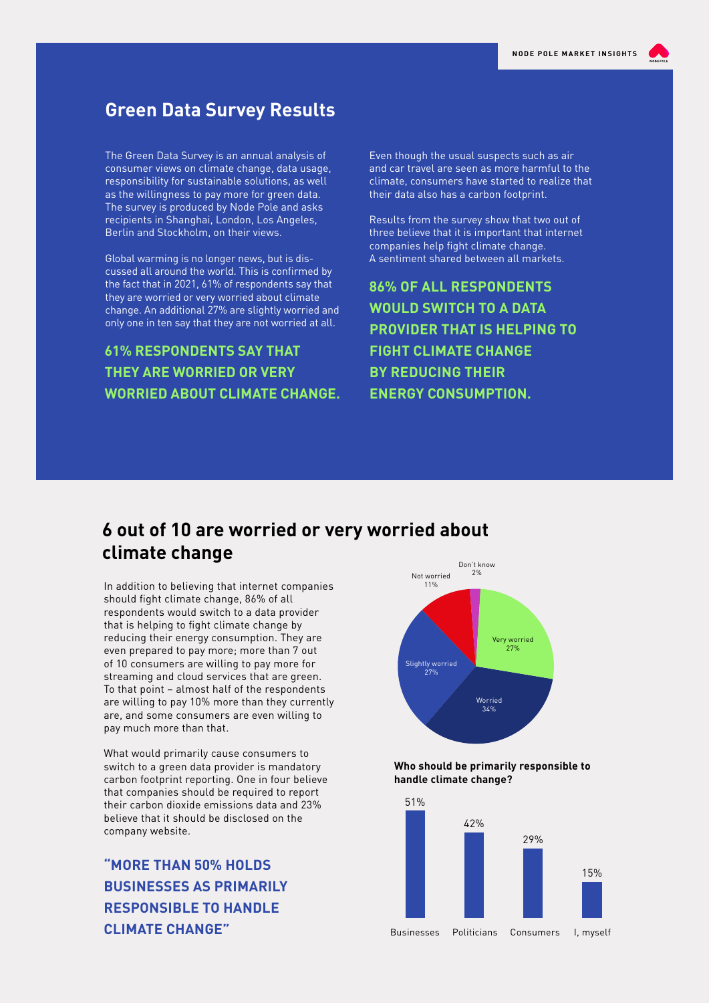## **Green Data Survey Results**

The Green Data Survey is an annual analysis of consumer views on climate change, data usage, responsibility for sustainable solutions, as well as the willingness to pay more for green data. The survey is produced by Node Pole and asks recipients in Shanghai, London, Los Angeles, Berlin and Stockholm, on their views.

Global warming is no longer news, but is discussed all around the world. This is confirmed by the fact that in 2021, 61% of respondents say that they are worried or very worried about climate change. An additional 27% are slightly worried and only one in ten say that they are not worried at all.

**61% RESPONDENTS SAY THAT THEY ARE WORRIED OR VERY WORRIED ABOUT CLIMATE CHANGE.** Even though the usual suspects such as air and car travel are seen as more harmful to the climate, consumers have started to realize that their data also has a carbon footprint.

Results from the survey show that two out of three believe that it is important that internet companies help fight climate change. A sentiment shared between all markets.

**86% OF ALL RESPONDENTS WOULD SWITCH TO A DATA PROVIDER THAT IS HELPING TO FIGHT CLIMATE CHANGE BY REDUCING THEIR ENERGY CONSUMPTION.** 

## **6 out of 10 are worried or very worried about climate change**  $\sum_{\text{Don't know}}$

In addition to believing that internet companies should fight climate change, 86% of all respondents would switch to a data provider that is helping to fight climate change by reducing their energy consumption. They are even prepared to pay more; more than 7 out of 10 consumers are willing to pay more for streaming and cloud services that are green. To that point – almost half of the respondents are willing to pay 10% more than they currently are, and some consumers are even willing to pay much more than that.

What would primarily cause consumers to switch to a green data provider is mandatory carbon footprint reporting. One in four believe that companies should be required to report their carbon dioxide emissions data and 23% believe that it should be disclosed on the company website.

**"MORE THAN 50% HOLDS BUSINESSES AS PRIMARILY RESPONSIBLE TO HANDLE CLIMATE CHANGE"**



**Who should be primarily responsible to handle climate change?**